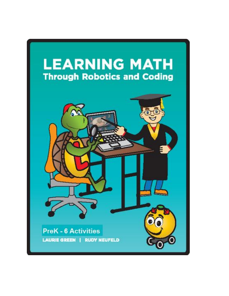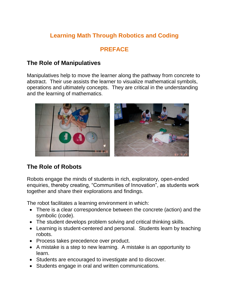# **Learning Math Through Robotics and Coding**

# **PREFACE**

# **The Role of Manipulatives**

Manipulatives help to move the learner along the pathway from concrete to abstract. Their use assists the learner to visualize mathematical symbols, operations and ultimately concepts. They are critical in the understanding and the learning of mathematics.



# **The Role of Robots**

Robots engage the minds of students in rich, exploratory, open-ended enquiries, thereby creating, "Communities of Innovation", as students work together and share their explorations and findings.

The robot facilitates a learning environment in which:

- There is a clear correspondence between the concrete (action) and the symbolic (code).
- The student develops problem solving and critical thinking skills.
- Learning is student-centered and personal. Students learn by teaching robots.
- Process takes precedence over product.
- A mistake is a step to new learning. A mistake is an opportunity to learn.
- Students are encouraged to investigate and to discover.
- Students engage in oral and written communications.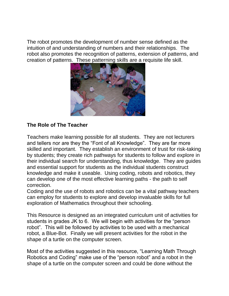The robot promotes the development of number sense defined as the intuition of and understanding of numbers and their relationships. The robot also promotes the recognition of patterns, extension of patterns, and creation of patterns. These patterning skills are a requisite life skill.



#### **The Role of The Teacher**

Teachers make learning possible for all students. They are not lecturers and tellers nor are they the "Font of all Knowledge". They are far more skilled and important. They establish an environment of trust for risk-taking by students; they create rich pathways for students to follow and explore in their individual search for understanding, thus knowledge. They are guides and essential support for students as the individual students construct knowledge and make it useable. Using coding, robots and robotics, they can develop one of the most effective learning paths - the path to self correction.

Coding and the use of robots and robotics can be a vital pathway teachers can employ for students to explore and develop invaluable skills for full exploration of Mathematics throughout their schooling.

This Resource is designed as an integrated curriculum unit of activities for students in grades JK to 6. We will begin with activities for the "person robot". This will be followed by activities to be used with a mechanical robot, a Blue-Bot. Finally we will present activities for the robot in the shape of a turtle on the computer screen.

Most of the activities suggested in this resource, "Learning Math Through Robotics and Coding" make use of the "person robot" and a robot in the shape of a turtle on the computer screen and could be done without the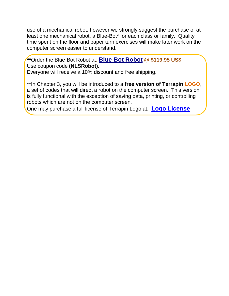use of a mechanical robot, however we strongly suggest the purchase of at least one mechanical robot, a Blue-Bot\* for each class or family. Quality time spent on the floor and paper turn exercises will make later work on the computer screen easier to understand.

**\*\***Order the Blue-Bot Robot at*:* **[Blue-Bot Robot](https://www.terrapinlogo.com/bluebot.html) @ \$119.95 US\$** Use coupon code **(NLSRobot).**  Everyone will receive a 10% discount and free shipping.

**\*\***In Chapter 3, you will be introduced to a **free version of Terrapin LOGO**, a set of codes that will direct a robot on the computer screen. This version is fully functional with the exception of saving data, printing, or controlling robots which are not on the computer screen.

One may purchase a full license of Terrapin Logo at: **[Logo License](https://www.terrapinlogo.com/products/logo/logo/logo.html)**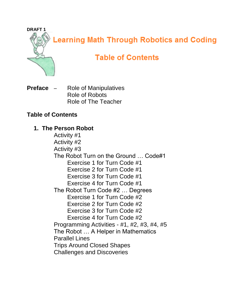

**Learning Math Through Robotics and Coding** 

# **Table of Contents**

**Preface** – Role of Manipulatives Role of Robots Role of The Teacher

# **Table of Contents**

# **1. The Person Robot**

Activity #1 Activity #2 Activity #3 The Robot Turn on the Ground … Code#1 Exercise 1 for Turn Code #1 Exercise 2 for Turn Code #1 Exercise 3 for Turn Code #1 Exercise 4 for Turn Code #1 The Robot Turn Code #2 … Degrees Exercise 1 for Turn Code #2 Exercise 2 for Turn Code #2 Exercise 3 for Turn Code #2 Exercise 4 for Turn Code #2 Programming Activities - #1, #2, #3, #4, #5 The Robot … A Helper in Mathematics Parallel Lines Trips Around Closed Shapes Challenges and Discoveries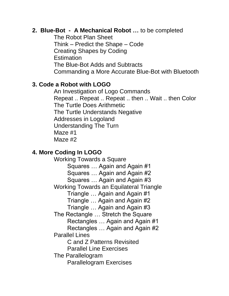#### **2. Blue-Bot - A Mechanical Robot …** to be completed

The Robot Plan Sheet Think – Predict the Shape – Code Creating Shapes by Coding **Estimation** The Blue-Bot Adds and Subtracts Commanding a More Accurate Blue-Bot with Bluetooth

#### **3. Code a Robot with LOGO**

An Investigation of Logo Commands Repeat .. Repeat .. Repeat .. then .. Wait .. then Color The Turtle Does Arithmetic The Turtle Understands Negative Addresses in Logoland Understanding The Turn Maze #1 Maze #2

# **4. More Coding In LOGO**

Working Towards a Square Squares … Again and Again #1 Squares … Again and Again #2 Squares … Again and Again #3 Working Towards an Equilateral Triangle Triangle … Again and Again #1 Triangle … Again and Again #2 Triangle … Again and Again #3 The Rectangle … Stretch the Square Rectangles … Again and Again #1 Rectangles … Again and Again #2 Parallel Lines C and Z Patterns Revisited Parallel Line Exercises The Parallelogram Parallelogram Exercises